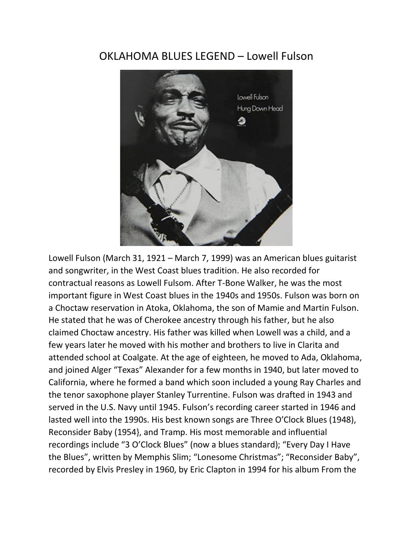## OKLAHOMA BLUES LEGEND – Lowell Fulson



Lowell Fulson (March 31, 1921 – March 7, 1999) was an American blues guitarist and songwriter, in the West Coast blues tradition. He also recorded for contractual reasons as Lowell Fulsom. After T-Bone Walker, he was the most important figure in West Coast blues in the 1940s and 1950s. Fulson was born on a Choctaw reservation in Atoka, Oklahoma, the son of Mamie and Martin Fulson. He stated that he was of Cherokee ancestry through his father, but he also claimed Choctaw ancestry. His father was killed when Lowell was a child, and a few years later he moved with his mother and brothers to live in Clarita and attended school at Coalgate. At the age of eighteen, he moved to Ada, Oklahoma, and joined Alger "Texas" Alexander for a few months in 1940, but later moved to California, where he formed a band which soon included a young Ray Charles and the tenor saxophone player Stanley Turrentine. Fulson was drafted in 1943 and served in the U.S. Navy until 1945. Fulson's recording career started in 1946 and lasted well into the 1990s. His best known songs are Three O'Clock Blues (1948), Reconsider Baby (1954}, and Tramp. His most memorable and influential recordings include "3 O'Clock Blues" (now a blues standard); "Every Day I Have the Blues", written by Memphis Slim; "Lonesome Christmas"; "Reconsider Baby", recorded by Elvis Presley in 1960, by Eric Clapton in 1994 for his album From the